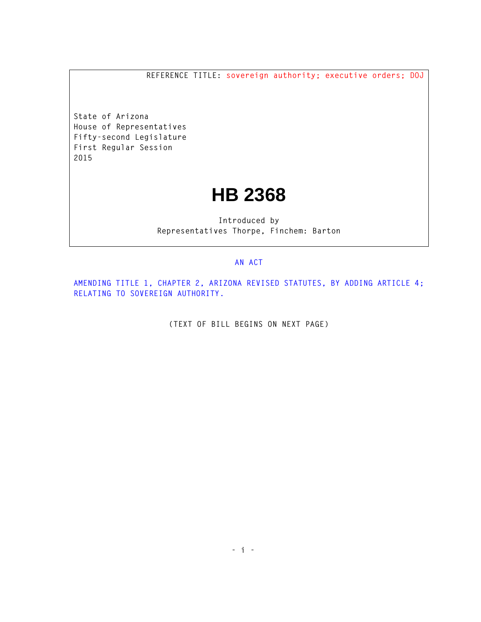**REFERENCE TITLE: sovereign authority; executive orders; DOJ**

**State of Arizona House of Representatives Fifty-second Legislature First Regular Session 2015** 

## **HB 2368**

**Introduced by Representatives Thorpe, Finchem: Barton** 

## **AN ACT**

**AMENDING TITLE 1, CHAPTER 2, ARIZONA REVISED STATUTES, BY ADDING ARTICLE 4; RELATING TO SOVEREIGN AUTHORITY.** 

**(TEXT OF BILL BEGINS ON NEXT PAGE)**